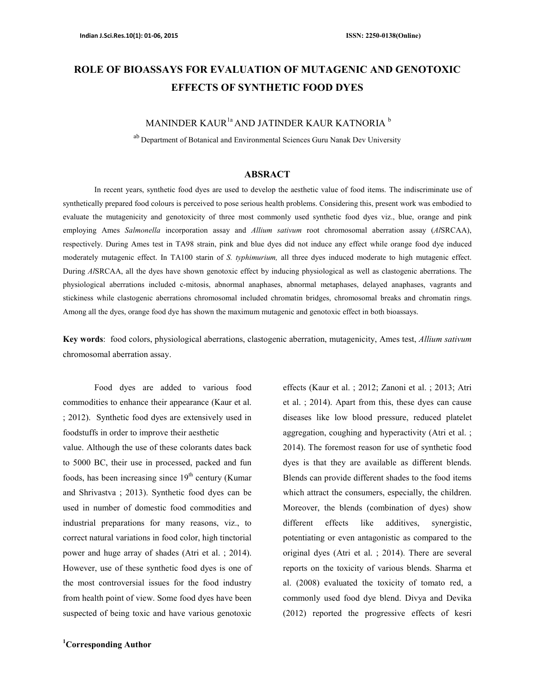# ROLE OF BIOASSAYS FOR EVALUATION OF MUTAGENIC AND GENOTOXIC EFFECTS OF SYNTHETIC FOOD DYES

### MANINDER KAUR<sup>1a</sup> AND JATINDER KAUR KATNORIA<sup>b</sup>

ab Department of Botanical and Environmental Sciences Guru Nanak Dev University

#### ABSRACT

In recent years, synthetic food dyes are used to develop the aesthetic value of food items. The indiscriminate use of synthetically prepared food colours is perceived to pose serious health problems. Considering this, present work was embodied to evaluate the mutagenicity and genotoxicity of three most commonly used synthetic food dyes viz., blue, orange and pink employing Ames Salmonella incorporation assay and Allium sativum root chromosomal aberration assay (AISRCAA), respectively. During Ames test in TA98 strain, pink and blue dyes did not induce any effect while orange food dye induced moderately mutagenic effect. In TA100 starin of S. typhimurium, all three dyes induced moderate to high mutagenic effect. During AlSRCAA, all the dyes have shown genotoxic effect by inducing physiological as well as clastogenic aberrations. The physiological aberrations included c-mitosis, abnormal anaphases, abnormal metaphases, delayed anaphases, vagrants and stickiness while clastogenic aberrations chromosomal included chromatin bridges, chromosomal breaks and chromatin rings. Among all the dyes, orange food dye has shown the maximum mutagenic and genotoxic effect in both bioassays.

Key words: food colors, physiological aberrations, clastogenic aberration, mutagenicity, Ames test, Allium sativum chromosomal aberration assay.

Food dyes are added to various food commodities to enhance their appearance (Kaur et al. ; 2012). Synthetic food dyes are extensively used in foodstuffs in order to improve their aesthetic value. Although the use of these colorants dates back to 5000 BC, their use in processed, packed and fun foods, has been increasing since  $19<sup>th</sup>$  century (Kumar and Shrivastva ; 2013). Synthetic food dyes can be used in number of domestic food commodities and industrial preparations for many reasons, viz., to correct natural variations in food color, high tinctorial power and huge array of shades (Atri et al. ; 2014). However, use of these synthetic food dyes is one of the most controversial issues for the food industry from health point of view. Some food dyes have been suspected of being toxic and have various genotoxic

<sup>1</sup>Corresponding Author

effects (Kaur et al. ; 2012; Zanoni et al. ; 2013; Atri et al. ; 2014). Apart from this, these dyes can cause diseases like low blood pressure, reduced platelet aggregation, coughing and hyperactivity (Atri et al. ; 2014). The foremost reason for use of synthetic food dyes is that they are available as different blends. Blends can provide different shades to the food items which attract the consumers, especially, the children. Moreover, the blends (combination of dyes) show different effects like additives, synergistic, potentiating or even antagonistic as compared to the original dyes (Atri et al. ; 2014). There are several reports on the toxicity of various blends. Sharma et al. (2008) evaluated the toxicity of tomato red, a commonly used food dye blend. Divya and Devika (2012) reported the progressive effects of kesri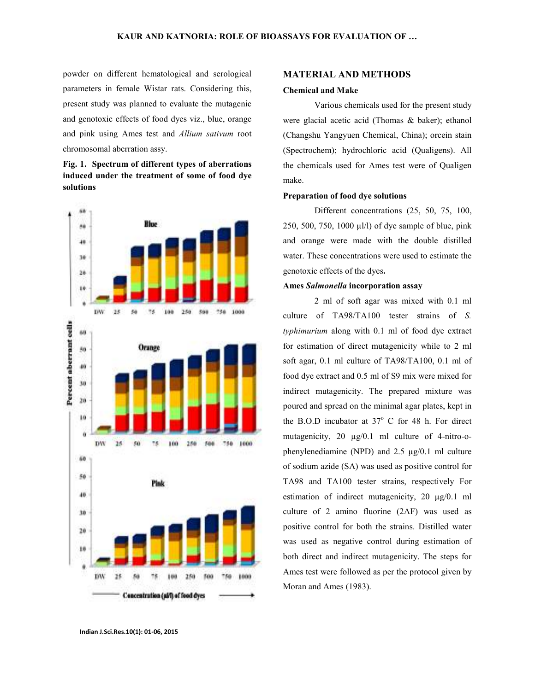powder on different hematological and serological parameters in female Wistar rats. Considering this, present study was planned to evaluate the mutagenic and genotoxic effects of food dyes viz., blue, orange and pink using Ames test and Allium sativum root chromosomal aberration assy.

### Fig. 1. Spectrum of different types of aberrations induced under the treatment of some of food dye solutions



#### MATERIAL AND METHODS

#### Chemical and Make

Various chemicals used for the present study were glacial acetic acid (Thomas & baker); ethanol (Changshu Yangyuen Chemical, China); orcein stain (Spectrochem); hydrochloric acid (Qualigens). All the chemicals used for Ames test were of Qualigen make.

#### Preparation of food dye solutions

Different concentrations (25, 50, 75, 100, 250, 500, 750, 1000 µl/l) of dye sample of blue, pink and orange were made with the double distilled water. These concentrations were used to estimate the genotoxic effects of the dyes.

#### Ames Salmonella incorporation assay

2 ml of soft agar was mixed with 0.1 ml culture of TA98/TA100 tester strains of S. typhimurium along with 0.1 ml of food dye extract for estimation of direct mutagenicity while to 2 ml soft agar, 0.1 ml culture of TA98/TA100, 0.1 ml of food dye extract and 0.5 ml of S9 mix were mixed for indirect mutagenicity. The prepared mixture was poured and spread on the minimal agar plates, kept in the B.O.D incubator at  $37^{\circ}$  C for 48 h. For direct mutagenicity, 20  $\mu$ g/0.1 ml culture of 4-nitro-ophenylenediamine (NPD) and 2.5 µg/0.1 ml culture of sodium azide (SA) was used as positive control for TA98 and TA100 tester strains, respectively For estimation of indirect mutagenicity, 20 µg/0.1 ml culture of 2 amino fluorine (2AF) was used as positive control for both the strains. Distilled water was used as negative control during estimation of both direct and indirect mutagenicity. The steps for Ames test were followed as per the protocol given by Moran and Ames (1983).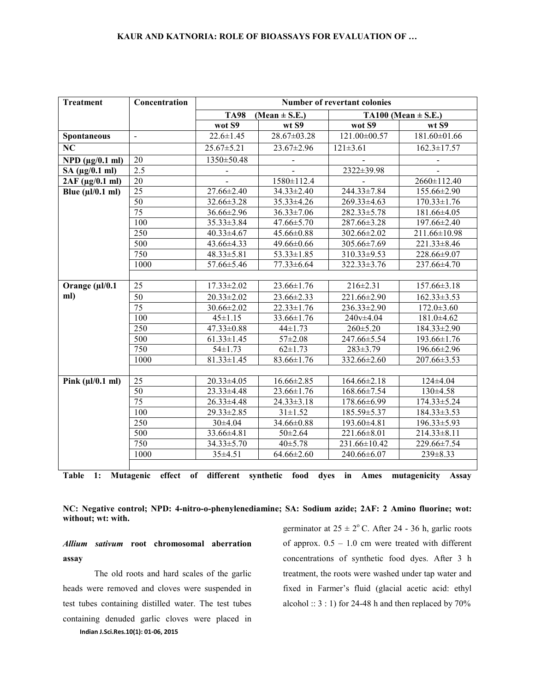| <b>Treatment</b>              | Concentration    | Number of revertant colonies |                   |                         |                              |  |  |  |  |  |  |
|-------------------------------|------------------|------------------------------|-------------------|-------------------------|------------------------------|--|--|--|--|--|--|
|                               |                  | <b>TA98</b>                  | $(Mean \pm S.E.)$ | TA100 (Mean $\pm$ S.E.) |                              |  |  |  |  |  |  |
|                               |                  | wot S9                       | wt S9             | wot S9                  | wt S9                        |  |  |  |  |  |  |
| Spontaneous                   | $\blacksquare$   | $22.6 \pm 1.45$              | 28.67±03.28       | 121.00±00.57            | 181.60±01.66                 |  |  |  |  |  |  |
| NC                            |                  | $25.67 \pm 5.21$             | 23.67±2.96        | $121 \pm 3.61$          | $162.3 \pm 17.57$            |  |  |  |  |  |  |
| $NPD$ ( $\mu$ g/0.1 ml)       | 20               | 1350±50.48                   |                   |                         |                              |  |  |  |  |  |  |
| SA $(\mu g/0.1$ ml)           | 2.5              |                              |                   | 2322±39.98              |                              |  |  |  |  |  |  |
| 2AF (µg/0.1 ml)               | 20               |                              | 1580±112.4        |                         | 2660±112.40                  |  |  |  |  |  |  |
| Blue $(\mu l/0.1 \text{ ml})$ | $\overline{25}$  | 27.66±2.40                   | 34.33±2.40        | 244.33±7.84             | 155.66±2.90                  |  |  |  |  |  |  |
|                               | 50               | 32.66±3.28                   | 35.33±4.26        | 269.33±4.63             | $170.33 \pm 1.76$            |  |  |  |  |  |  |
|                               | $\overline{75}$  | 36.66±2.96                   | $36.33 \pm 7.06$  | 282.33±5.78             | 181.66±4.05                  |  |  |  |  |  |  |
|                               | 100              | $35.33 \pm 3.84$             | 47.66±5.70        | 287.66±3.28             | 197.66±2.40                  |  |  |  |  |  |  |
|                               | 250              | $40.33 \pm 4.67$             | 45.66±0.88        | 302.66±2.02             | 211.66±10.98                 |  |  |  |  |  |  |
|                               | 500              | 43.66±4.33                   | 49.66±0.66        | 305.66±7.69             | $221.33 \pm 8.46$            |  |  |  |  |  |  |
|                               | 750              | 48.33±5.81                   | $53.33 \pm 1.85$  | 310.33±9.53             | 228.66±9.07                  |  |  |  |  |  |  |
|                               | 1000             | 57.66±5.46                   | $77.33 \pm 6.64$  | 322.33±3.76             | 237.66±4.70                  |  |  |  |  |  |  |
|                               |                  |                              |                   |                         |                              |  |  |  |  |  |  |
| Orange $(\mu l/0.1)$          | 25               | $17.33 \pm 2.02$             | 23.66±1.76        | $216 \pm 2.31$          | $157.66 \pm 3.18$            |  |  |  |  |  |  |
| ml)                           | $\overline{50}$  | $20.33 \pm 2.02$             | $23.66 \pm 2.33$  | 221.66±2.90             | $162.33 \pm 3.53$            |  |  |  |  |  |  |
|                               | $\overline{75}$  | 30.66±2.02                   | $22.33 \pm 1.76$  | 236.33±2.90             | $172.0 \pm 3.60$             |  |  |  |  |  |  |
|                               | 100              | $45 \pm 1.15$                | 33.66±1.76        | 240v±4.04               | 181.0±4.62                   |  |  |  |  |  |  |
|                               | $\overline{250}$ | $47.33 \pm 0.88$             | $44 \pm 1.73$     | $260 \pm 5.20$          | 184.33±2.90                  |  |  |  |  |  |  |
|                               | 500              | $61.33 \pm 1.45$             | $57 \pm 2.08$     | 247.66±5.54             | 193.66±1.76                  |  |  |  |  |  |  |
|                               | 750              | $54 \pm 1.73$                | $62 \pm 1.73$     | $283 \pm 3.79$          | 196.66±2.96                  |  |  |  |  |  |  |
|                               | 1000             | $81.33 \pm 1.45$             | 83.66±1.76        | 332.66±2.60             | 207.66±3.53                  |  |  |  |  |  |  |
|                               |                  |                              |                   |                         |                              |  |  |  |  |  |  |
| Pink $(\mu l/0.1$ ml)         | 25               | 20.33±4.05                   | $16.66 \pm 2.85$  | $164.66 \pm 2.18$       | 124±4.04                     |  |  |  |  |  |  |
|                               | 50               | 23.33±4.48                   | 23.66±1.76        | 168.66±7.54             | 130±4.58                     |  |  |  |  |  |  |
|                               | 75               | $26.33 \pm 4.48$             | $24.33 \pm 3.18$  | 178.66±6.99             | $\overline{174.33} \pm 5.24$ |  |  |  |  |  |  |
|                               | 100              | 29.33±2.85                   | $31 \pm 1.52$     | 185.59±5.37             | $184.33 \pm 3.53$            |  |  |  |  |  |  |
|                               | 250              | $30\pm4.04$                  | 34.66±0.88        | 193.60±4.81             | $196.33 \pm 5.93$            |  |  |  |  |  |  |
|                               | 500              | 33.66±4.81                   | $50 \pm 2.64$     | 221.66±8.01             | $214.33 \pm 8.11$            |  |  |  |  |  |  |
|                               | 750              | 34.33±5.70                   | $40 \pm 5.78$     | 231.66±10.42            | 229.66±7.54                  |  |  |  |  |  |  |
|                               | 1000             | 35±4.51                      | $64.66 \pm 2.60$  | 240.66±6.07             | 239±8.33                     |  |  |  |  |  |  |
|                               |                  |                              |                   |                         |                              |  |  |  |  |  |  |

Table 1: Mutagenic effect of different synthetic food dyes in Ames mutagenicity Assay

NC: Negative control; NPD: 4-nitro-o-phenylenediamine; SA: Sodium azide; 2AF: 2 Amino fluorine; wot: without; wt: with.

## Allium sativum root chromosomal aberration assay

Indian J.Sci.Res.10(1): 01-06, 2015 The old roots and hard scales of the garlic heads were removed and cloves were suspended in test tubes containing distilled water. The test tubes containing denuded garlic cloves were placed in germinator at  $25 \pm 2^{\circ}$  C. After 24 - 36 h, garlic roots of approx.  $0.5 - 1.0$  cm were treated with different concentrations of synthetic food dyes. After 3 h treatment, the roots were washed under tap water and fixed in Farmer's fluid (glacial acetic acid: ethyl alcohol ::  $3:1$ ) for 24-48 h and then replaced by 70%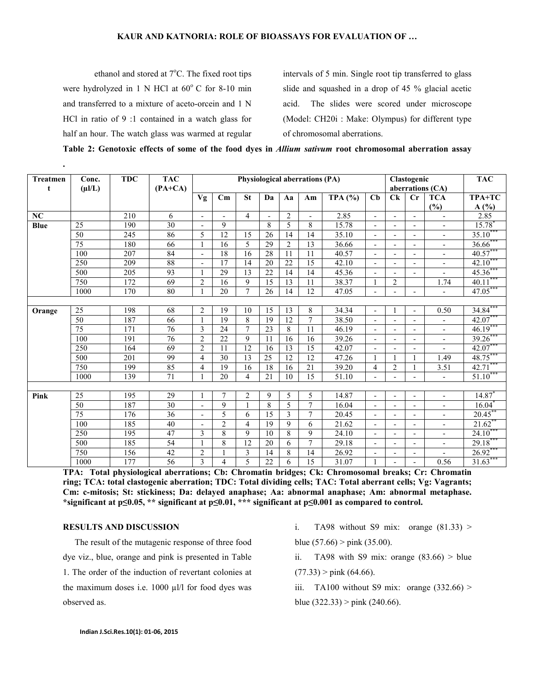#### KAUR AND KATNORIA: ROLE OF BIOASSAYS FOR EVALUATION OF …

ethanol and stored at  $7^{\circ}$ C. The fixed root tips were hydrolyzed in 1 N HCl at  $60^{\circ}$  C for 8-10 min and transferred to a mixture of aceto-orcein and 1 N HCl in ratio of 9 :1 contained in a watch glass for half an hour. The watch glass was warmed at regular

.

intervals of 5 min. Single root tip transferred to glass slide and squashed in a drop of 45 % glacial acetic acid. The slides were scored under microscope (Model: CH20i : Make: Olympus) for different type of chromosomal aberrations.

Table 2: Genotoxic effects of some of the food dyes in Allium sativum root chromosomal aberration assay

| <b>Treatmen</b><br>t | Conc.<br>$(\mu I/L)$ |     | Physiological aberrations (PA) |                |                |                |                 | Clastogenic<br>aberrations (CA) |                          |           | <b>TAC</b>               |                          |                          |                          |                      |
|----------------------|----------------------|-----|--------------------------------|----------------|----------------|----------------|-----------------|---------------------------------|--------------------------|-----------|--------------------------|--------------------------|--------------------------|--------------------------|----------------------|
|                      |                      |     | $(PA+CA)$                      | Vg             | Cm             | <b>St</b>      | Da              | Aa                              | Am                       | TPA $(%)$ | Cb                       | Ck                       | $C_{r}$                  | <b>TCA</b><br>(%)        | TPA+TC<br>A(%)       |
| NC                   |                      | 210 | 6                              |                |                | $\overline{4}$ | $\overline{a}$  | 2                               | $\overline{\phantom{a}}$ | 2.85      | $\overline{\phantom{a}}$ | $\overline{a}$           |                          | $\overline{a}$           | 2.85                 |
| Blue                 | $\overline{25}$      | 190 | 30                             |                | 9              |                | 8               | 5                               | 8                        | 15.78     | $\overline{\phantom{a}}$ | $\overline{a}$           |                          | $\overline{\phantom{a}}$ | 15.78                |
|                      | 50                   | 245 | 86                             | 5              | 12             | 15             | 26              | 14                              | 14                       | 35.10     | $\overline{\phantom{a}}$ | $\overline{a}$           | $\overline{\phantom{a}}$ | $\overline{\phantom{a}}$ | $35.10***$           |
|                      | $\overline{75}$      | 180 | 66                             |                | 16             | 5              | 29              | $\overline{2}$                  | 13                       | 36.66     | $\blacksquare$           | $\overline{a}$           |                          | $\blacksquare$           | $36.66$ <sup>*</sup> |
|                      | 100                  | 207 | 84                             |                | 18             | 16             | $\overline{28}$ | 11                              | 11                       | 40.57     | $\overline{\phantom{a}}$ | $\overline{a}$           | $\overline{\phantom{a}}$ | $\overline{\phantom{m}}$ | $40.57***$           |
|                      | 250                  | 209 | 88                             |                | 17             | 14             | 20              | 22                              | $\overline{15}$          | 42.10     | $\overline{\phantom{a}}$ | $\overline{a}$           |                          | $\overline{\phantom{a}}$ | $42.10***$           |
|                      | 500                  | 205 | 93                             |                | 29             | 13             | 22              | 14                              | 14                       | 45.36     | $\overline{\phantom{a}}$ | $\overline{\phantom{a}}$ | $\overline{\phantom{0}}$ | $\overline{a}$           | 45.36***             |
|                      | 750                  | 172 | 69                             | $\overline{2}$ | 16             | 9              | 15              | 13                              | 11                       | 38.37     | $\mathbf{1}$             | $\overline{2}$           |                          | 1.74                     | $40.11***$           |
|                      | 1000                 | 170 | 80                             |                | 20             | $\overline{7}$ | 26              | 14                              | 12                       | 47.05     | $\blacksquare$           |                          | $\overline{a}$           | $\overline{a}$           | $47.05***$           |
|                      |                      |     |                                |                |                |                |                 |                                 |                          |           |                          |                          |                          |                          |                      |
| Orange               | $\overline{25}$      | 198 | 68                             | $\overline{2}$ | 19             | 10             | 15              | 13                              | 8                        | 34.34     | $\overline{\phantom{a}}$ |                          | $\overline{a}$           | 0.50                     | 34.84                |
|                      | 50                   | 187 | 66                             |                | 19             | 8              | 19              | 12                              | $\overline{7}$           | 38.50     | $\overline{\phantom{a}}$ | $\overline{a}$           | $\overline{a}$           | $\overline{\phantom{a}}$ | 42.07***             |
|                      | 75                   | 171 | 76                             | 3              | 24             | $\overline{7}$ | 23              | 8                               | 11                       | 46.19     | $\overline{\phantom{a}}$ | $\overline{\phantom{a}}$ | $\overline{\phantom{a}}$ | $\overline{\phantom{a}}$ | 46.19                |
|                      | 100                  | 191 | 76                             | $\overline{2}$ | 22             | 9              | 11              | 16                              | 16                       | 39.26     | $\overline{\phantom{a}}$ | $\overline{a}$           |                          | $\overline{\phantom{a}}$ | 39.26***             |
|                      | 250                  | 164 | 69                             | $\overline{c}$ | 11             | 12             | 16              | 13                              | 15                       | 42.07     | $\overline{a}$           |                          |                          |                          | 42.07                |
|                      | 500                  | 201 | 99                             | $\overline{4}$ | 30             | 13             | 25              | 12                              | 12                       | 47.26     |                          |                          |                          | 1.49                     | 48.75***             |
|                      | 750                  | 199 | 85                             | $\overline{4}$ | 19             | 16             | 18              | 16                              | 21                       | 39.20     | $\overline{4}$           | $\overline{2}$           |                          | 3.51                     | $42.71***$           |
|                      | 1000                 | 139 | 71                             |                | 20             | $\overline{4}$ | 21              | 10                              | 15                       | 51.10     | $\overline{\phantom{a}}$ | $\blacksquare$           | $\overline{\phantom{a}}$ | $\overline{\phantom{a}}$ | $51.10***$           |
|                      |                      |     |                                |                |                |                |                 |                                 |                          |           |                          |                          |                          |                          |                      |
| Pink                 | $\overline{25}$      | 195 | 29                             |                | 7              | $\overline{2}$ | 9               | 5                               | 5                        | 14.87     | $\overline{\phantom{a}}$ |                          |                          | $\blacksquare$           | 14.87                |
|                      | 50                   | 187 | 30                             |                | 9              |                | 8               | 5                               | $\overline{7}$           | 16.04     | $\overline{\phantom{a}}$ | $\overline{a}$           | $\overline{\phantom{a}}$ | $\overline{\phantom{a}}$ | $16.04$ <sup>*</sup> |
|                      | $\overline{75}$      | 176 | $\overline{36}$                | $\overline{a}$ | 5              | 6              | 15              | 3                               | $\overline{7}$           | 20.45     | $\overline{\phantom{a}}$ | $\overline{a}$           | $\overline{a}$           | $\overline{\phantom{a}}$ | $20.45$ *            |
|                      | 100                  | 185 | 40                             |                | $\overline{2}$ | $\overline{4}$ | 19              | 9                               | 6                        | 21.62     | $\overline{\phantom{a}}$ | $\overline{a}$           | $\overline{\phantom{a}}$ | $\blacksquare$           | $21.62$ <sup>*</sup> |
|                      | 250                  | 195 | 47                             | 3              | 8              | 9              | 10              | 8                               | 9                        | 24.10     | $\blacksquare$           | $\overline{a}$           |                          | $\blacksquare$           | $24.10***$           |
|                      | 500                  | 185 | 54                             |                | 8              | 12             | 20              | 6                               | $\overline{7}$           | 29.18     | $\overline{\phantom{a}}$ | $\overline{\phantom{0}}$ | $\overline{\phantom{0}}$ | $\blacksquare$           | 29.18***             |
|                      | 750                  | 156 | 42                             | $\overline{2}$ |                | 3              | 14              | 8                               | 14                       | 26.92     | $\overline{\phantom{a}}$ | $\overline{a}$           | $\overline{\phantom{a}}$ | $\blacksquare$           | $26.92***$           |
|                      | 1000                 | 177 | 56                             | 3              | 4              | 5              | 22              | 6                               | 15                       | 31.07     |                          |                          |                          | 0.56                     | $31.63$ <sup>*</sup> |

TPA: Total physiological aberrations; Cb: Chromatin bridges; Ck: Chromosomal breaks; Cr: Chromatin ring; TCA: total clastogenic aberration; TDC: Total dividing cells; TAC: Total aberrant cells; Vg: Vagrants; Cm: c-mitosis; St: stickiness; Da: delayed anaphase; Aa: abnormal anaphase; Am: abnormal metaphase. \*significant at p≤0.05, \*\* significant at p≤0.01, \*\*\* significant at p≤0.001 as compared to control.

#### RESULTS AND DISCUSSION

The result of the mutagenic response of three food dye viz., blue, orange and pink is presented in Table 1. The order of the induction of revertant colonies at the maximum doses i.e. 1000 µl/l for food dyes was observed as.

- i. TA98 without S9 mix: orange  $(81.33)$  > blue  $(57.66)$  > pink  $(35.00)$ .
- ii. TA98 with S9 mix: orange  $(83.66)$  > blue
- $(77.33)$  > pink (64.66).
- iii. TA100 without S9 mix: orange  $(332.66)$  > blue  $(322.33)$  > pink  $(240.66)$ .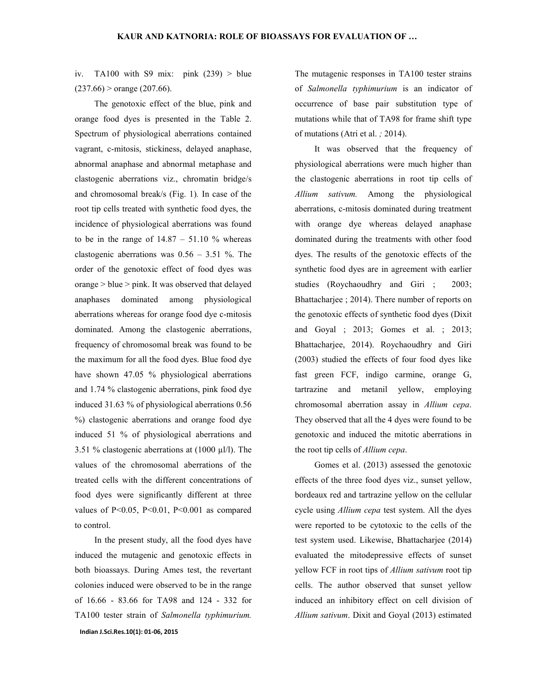iv. TA100 with S9 mix: pink  $(239)$  > blue  $(237.66)$  > orange (207.66).

The genotoxic effect of the blue, pink and orange food dyes is presented in the Table 2. Spectrum of physiological aberrations contained vagrant, c-mitosis, stickiness, delayed anaphase, abnormal anaphase and abnormal metaphase and clastogenic aberrations viz., chromatin bridge/s and chromosomal break/s (Fig. 1). In case of the root tip cells treated with synthetic food dyes, the incidence of physiological aberrations was found to be in the range of  $14.87 - 51.10$  % whereas clastogenic aberrations was  $0.56 - 3.51$  %. The order of the genotoxic effect of food dyes was orange > blue > pink. It was observed that delayed anaphases dominated among physiological aberrations whereas for orange food dye c-mitosis dominated. Among the clastogenic aberrations, frequency of chromosomal break was found to be the maximum for all the food dyes. Blue food dye have shown 47.05 % physiological aberrations and 1.74 % clastogenic aberrations, pink food dye induced 31.63 % of physiological aberrations 0.56 %) clastogenic aberrations and orange food dye induced 51 % of physiological aberrations and 3.51 % clastogenic aberrations at  $(1000 \mu l/l)$ . The values of the chromosomal aberrations of the treated cells with the different concentrations of food dyes were significantly different at three values of P<0.05, P<0.01, P<0.001 as compared to control.

Indian J.Sci.Res.10(1): 01-06, 2015 In the present study, all the food dyes have induced the mutagenic and genotoxic effects in both bioassays. During Ames test, the revertant colonies induced were observed to be in the range of 16.66 - 83.66 for TA98 and 124 - 332 for TA100 tester strain of Salmonella typhimurium.

The mutagenic responses in TA100 tester strains of Salmonella typhimurium is an indicator of occurrence of base pair substitution type of mutations while that of TA98 for frame shift type of mutations (Atri et al. ; 2014).

It was observed that the frequency of physiological aberrations were much higher than the clastogenic aberrations in root tip cells of Allium sativum. Among the physiological aberrations, c-mitosis dominated during treatment with orange dye whereas delayed anaphase dominated during the treatments with other food dyes. The results of the genotoxic effects of the synthetic food dyes are in agreement with earlier studies (Roychaoudhry and Giri ; 2003; Bhattacharjee ; 2014). There number of reports on the genotoxic effects of synthetic food dyes (Dixit and Goyal ; 2013; Gomes et al. ; 2013; Bhattacharjee, 2014). Roychaoudhry and Giri (2003) studied the effects of four food dyes like fast green FCF, indigo carmine, orange G, tartrazine and metanil yellow, employing chromosomal aberration assay in Allium cepa. They observed that all the 4 dyes were found to be genotoxic and induced the mitotic aberrations in the root tip cells of Allium cepa.

Gomes et al. (2013) assessed the genotoxic effects of the three food dyes viz., sunset yellow, bordeaux red and tartrazine yellow on the cellular cycle using Allium cepa test system. All the dyes were reported to be cytotoxic to the cells of the test system used. Likewise, Bhattacharjee (2014) evaluated the mitodepressive effects of sunset yellow FCF in root tips of Allium sativum root tip cells. The author observed that sunset yellow induced an inhibitory effect on cell division of Allium sativum. Dixit and Goyal (2013) estimated